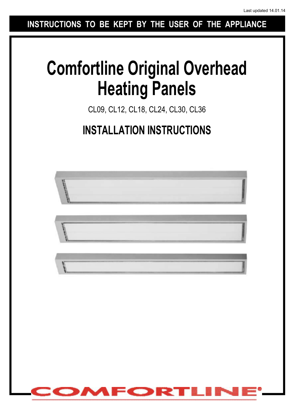**INSTRUCTIONS TO BE KEPT BY THE USER OF THE APPLIANCE**

# **Comfortline Original Overhead Heating Panels**

CL09, CL12, CL18, CL24, CL30, CL36

# **INSTALLATION INSTRUCTIONS**

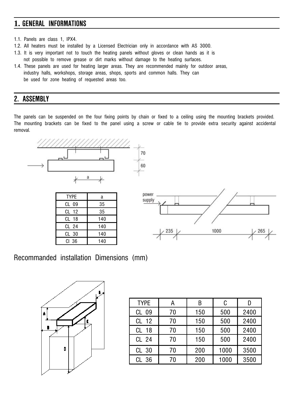# **1. GENERAL INFORMATIONS**

- 1.1. Panels are class 1, IPX4.
- 1.2. All heaters must be installed by a Licensed Electrician only in accordance with AS 3000.
- 1.3. It is very important not to touch the heating panels without gloves or clean hands as it is not possible to remove grease or dirt marks without damage to the heating surfaces.
- 1.4. These panels are used for heating larger areas. They are recommended mainly for outdoor areas, industry halls, workshops, storage areas, shops, sports and common halls. They can be used for zone heating of requested areas too.

## **2. ASSEMBLY**

The panels can be suspended on the four fixing points by chain or fixed to a ceiling using the mounting brackets provided. The mounting brackets can be fixed to the panel using a screw or cable tie to provide extra security against accidental removal.



#### Recommanded installation Dimensions (mm)



| <b>TYPE</b>      | А  | B   | C    |      |
|------------------|----|-----|------|------|
| CL 09            | 70 | 150 | 500  | 2400 |
| $CL$ 12          | 70 | 150 | 500  | 2400 |
| CL 18            | 70 | 150 | 500  | 2400 |
| CL <sub>24</sub> | 70 | 150 | 500  | 2400 |
| CL <sub>30</sub> | 70 | 200 | 1000 | 3500 |
| CL 36            | 70 | 200 | 1000 | 3500 |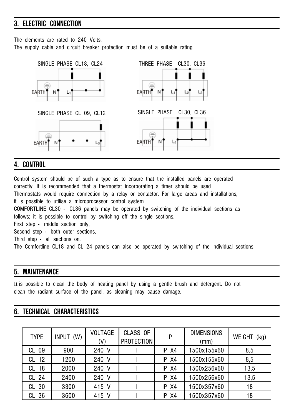# **3. ELECTRIC CONNECTION**

The elements are rated to 240 Volts. The supply cable and circuit breaker protection must be of a suitable rating.



#### **4. CONTROL**

Control system should be of such a type as to ensure that the installed panels are operated correctly. It is recommended that a thermostat incorporating a timer should be used. Thermostats would require connection by a relay or contactor. For large areas and installations, it is possible to utilise a microprocessor control system. COMFORTLINE CL30 - CL36 panels may be operated by switching of the individual sections as follows; it is possible to control by switching off the single sections. First step - middle section only, Second step - both outer sections. Third step - all sections on. The Comfortline CL18 and CL 24 panels can also be operated by switching of the individual sections.

#### **5. MAINTENANCE**

It is possible to clean the body of heating panel by using a gentle brush and detergent. Do not clean the radiant surface of the panel, as cleaning may cause damage.

#### **6. TECHNICAL CHARACTERISTICS**

| <b>TYPE</b>      | (W)<br>INPUT | <b>VOLTAGE</b><br>(V) | CLASS OF<br><b>PROTECTION</b> | IP        | <b>DIMENSIONS</b><br>(mm) | WEIGHT<br>(kg) |
|------------------|--------------|-----------------------|-------------------------------|-----------|---------------------------|----------------|
| CL 09            | 900          | 240 V                 |                               | $IP$ $X4$ | 1500x155x60               | 8,5            |
| CL 12            | 1200         | 240 V                 |                               | $IP$ $X4$ | 1500x155x60               | 8,5            |
| CL 18            | 2000         | 240 V                 |                               | $IP$ $X4$ | 1500x256x60               | 13,5           |
| CL 24            | 2400         | 240 V                 |                               | X4<br>IP  | 1500x256x60               | 13,5           |
| CL <sub>30</sub> | 3300         | 415 V                 |                               | X4<br>IP  | 1500x357x60               | 18             |
| CL 36            | 3600         | 415 V                 |                               | X4<br>IP  | 500x357x60                | 18             |